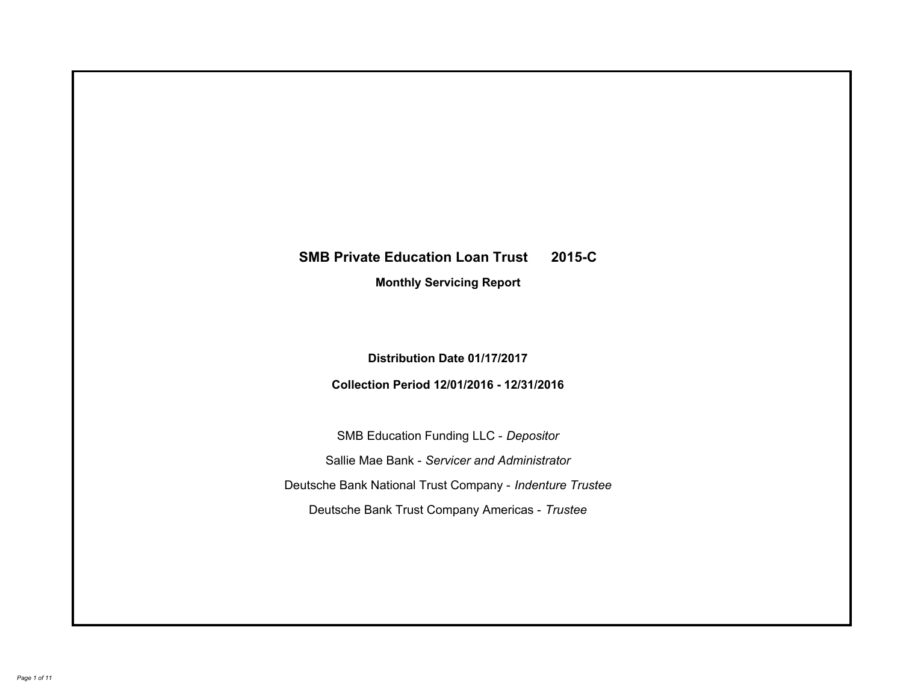# **SMB Private Education Loan Trust 2015-C Monthly Servicing Report**

**Distribution Date 01/17/2017**

**Collection Period 12/01/2016 - 12/31/2016**

SMB Education Funding LLC - *Depositor* Sallie Mae Bank - *Servicer and Administrator* Deutsche Bank National Trust Company - *Indenture Trustee* Deutsche Bank Trust Company Americas - *Trustee*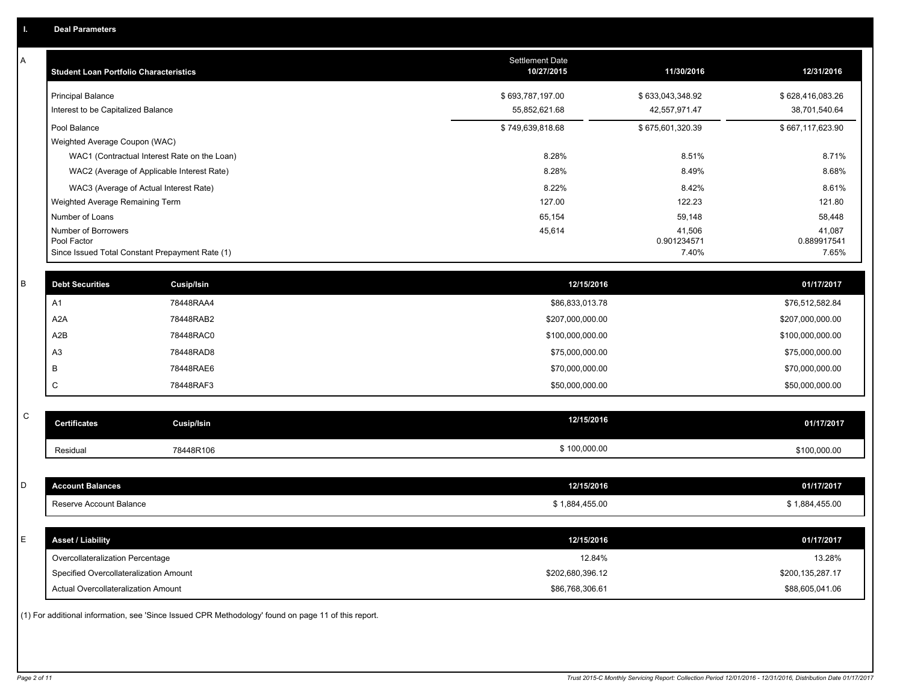| Α           | <b>Student Loan Portfolio Characteristics</b>   |                                                                                                     | <b>Settlement Date</b><br>10/27/2015 | 11/30/2016            | 12/31/2016            |
|-------------|-------------------------------------------------|-----------------------------------------------------------------------------------------------------|--------------------------------------|-----------------------|-----------------------|
|             | <b>Principal Balance</b>                        |                                                                                                     | \$693,787,197.00                     | \$633,043,348.92      | \$628,416,083.26      |
|             | Interest to be Capitalized Balance              |                                                                                                     | 55,852,621.68                        | 42,557,971.47         | 38,701,540.64         |
|             | Pool Balance                                    |                                                                                                     | \$749,639,818.68                     | \$675,601,320.39      | \$667,117,623.90      |
|             | Weighted Average Coupon (WAC)                   |                                                                                                     |                                      |                       |                       |
|             |                                                 | WAC1 (Contractual Interest Rate on the Loan)                                                        | 8.28%                                | 8.51%                 | 8.71%                 |
|             |                                                 | WAC2 (Average of Applicable Interest Rate)                                                          | 8.28%                                | 8.49%                 | 8.68%                 |
|             | WAC3 (Average of Actual Interest Rate)          |                                                                                                     | 8.22%                                | 8.42%                 | 8.61%                 |
|             | Weighted Average Remaining Term                 |                                                                                                     | 127.00                               | 122.23                | 121.80                |
|             | Number of Loans                                 |                                                                                                     | 65,154                               | 59,148                | 58,448                |
|             | Number of Borrowers<br>Pool Factor              |                                                                                                     | 45,614                               | 41,506<br>0.901234571 | 41,087<br>0.889917541 |
|             | Since Issued Total Constant Prepayment Rate (1) |                                                                                                     |                                      | 7.40%                 | 7.65%                 |
| B           | <b>Debt Securities</b>                          | Cusip/Isin                                                                                          | 12/15/2016                           |                       | 01/17/2017            |
|             | A1                                              | 78448RAA4                                                                                           | \$86,833,013.78                      |                       | \$76,512,582.84       |
|             | A <sub>2</sub> A                                | 78448RAB2                                                                                           | \$207,000,000.00                     |                       | \$207,000,000.00      |
|             | A2B                                             | 78448RAC0                                                                                           | \$100,000,000.00                     |                       | \$100,000,000.00      |
|             | A <sub>3</sub>                                  | 78448RAD8                                                                                           | \$75,000,000.00                      |                       | \$75,000,000.00       |
|             | B                                               | 78448RAE6                                                                                           | \$70,000,000.00                      |                       | \$70,000,000.00       |
|             | C                                               | 78448RAF3                                                                                           | \$50,000,000.00                      |                       | \$50,000,000.00       |
|             |                                                 |                                                                                                     |                                      |                       |                       |
| $\mathbf C$ | <b>Certificates</b>                             | <b>Cusip/Isin</b>                                                                                   | 12/15/2016                           |                       | 01/17/2017            |
|             | Residual                                        | 78448R106                                                                                           | \$100,000.00                         |                       | \$100,000.00          |
|             |                                                 |                                                                                                     |                                      |                       |                       |
| D           | <b>Account Balances</b>                         |                                                                                                     | 12/15/2016                           |                       | 01/17/2017            |
|             | Reserve Account Balance                         |                                                                                                     | \$1,884,455.00                       |                       | \$1,884,455.00        |
| E           | <b>Asset / Liability</b>                        |                                                                                                     | 12/15/2016                           |                       | 01/17/2017            |
|             | Overcollateralization Percentage                |                                                                                                     | 12.84%                               |                       | 13.28%                |
|             | Specified Overcollateralization Amount          |                                                                                                     | \$202,680,396.12                     |                       | \$200,135,287.17      |
|             | Actual Overcollateralization Amount             |                                                                                                     | \$86,768,306.61                      |                       | \$88,605,041.06       |
|             |                                                 | (1) For additional information, see 'Since Issued CPR Methodology' found on page 11 of this report. |                                      |                       |                       |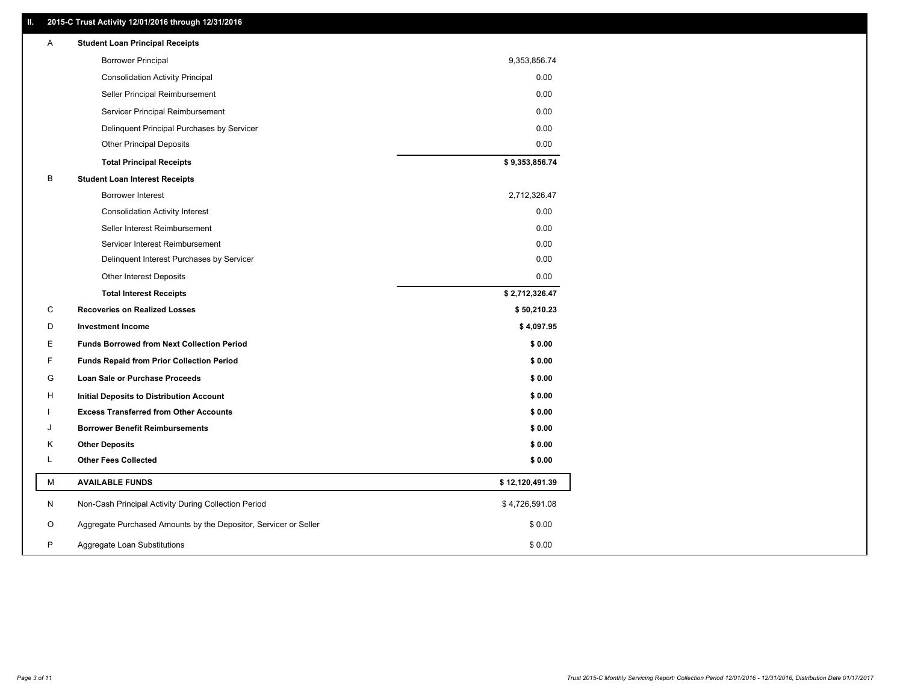### **II. 2015-C Trust Activity 12/01/2016 through 12/31/2016**

| Α | <b>Student Loan Principal Receipts</b>                           |                 |
|---|------------------------------------------------------------------|-----------------|
|   | <b>Borrower Principal</b>                                        | 9,353,856.74    |
|   | <b>Consolidation Activity Principal</b>                          | 0.00            |
|   | Seller Principal Reimbursement                                   | 0.00            |
|   | Servicer Principal Reimbursement                                 | 0.00            |
|   | Delinquent Principal Purchases by Servicer                       | 0.00            |
|   | <b>Other Principal Deposits</b>                                  | 0.00            |
|   | <b>Total Principal Receipts</b>                                  | \$9,353,856.74  |
| B | <b>Student Loan Interest Receipts</b>                            |                 |
|   | <b>Borrower Interest</b>                                         | 2,712,326.47    |
|   | <b>Consolidation Activity Interest</b>                           | 0.00            |
|   | Seller Interest Reimbursement                                    | 0.00            |
|   | Servicer Interest Reimbursement                                  | 0.00            |
|   | Delinquent Interest Purchases by Servicer                        | 0.00            |
|   | Other Interest Deposits                                          | 0.00            |
|   | <b>Total Interest Receipts</b>                                   | \$2,712,326.47  |
| C | <b>Recoveries on Realized Losses</b>                             | \$50,210.23     |
| D | <b>Investment Income</b>                                         | \$4,097.95      |
| Ε | <b>Funds Borrowed from Next Collection Period</b>                | \$0.00          |
| F | <b>Funds Repaid from Prior Collection Period</b>                 | \$0.00          |
| G | Loan Sale or Purchase Proceeds                                   | \$0.00          |
| H | Initial Deposits to Distribution Account                         | \$0.00          |
|   | <b>Excess Transferred from Other Accounts</b>                    | \$0.00          |
| J | <b>Borrower Benefit Reimbursements</b>                           | \$0.00          |
| Κ | <b>Other Deposits</b>                                            | \$0.00          |
| L | <b>Other Fees Collected</b>                                      | \$0.00          |
| М | <b>AVAILABLE FUNDS</b>                                           | \$12,120,491.39 |
| N | Non-Cash Principal Activity During Collection Period             | \$4,726,591.08  |
| O | Aggregate Purchased Amounts by the Depositor, Servicer or Seller | \$0.00          |
| P | Aggregate Loan Substitutions                                     | \$0.00          |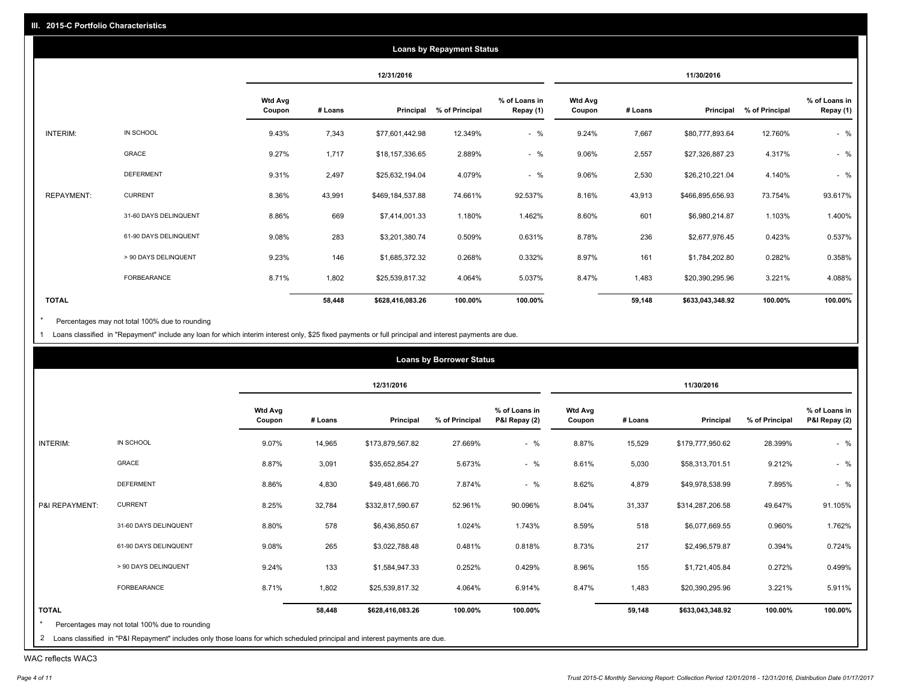|                   |                       |                          |         |                  | <b>Loans by Repayment Status</b> |                            |                          |         |                  |                |                            |
|-------------------|-----------------------|--------------------------|---------|------------------|----------------------------------|----------------------------|--------------------------|---------|------------------|----------------|----------------------------|
|                   |                       |                          |         | 12/31/2016       |                                  |                            |                          |         | 11/30/2016       |                |                            |
|                   |                       | <b>Wtd Avg</b><br>Coupon | # Loans | Principal        | % of Principal                   | % of Loans in<br>Repay (1) | <b>Wtd Avg</b><br>Coupon | # Loans | Principal        | % of Principal | % of Loans in<br>Repay (1) |
| INTERIM:          | IN SCHOOL             | 9.43%                    | 7,343   | \$77,601,442.98  | 12.349%                          | $-$ %                      | 9.24%                    | 7,667   | \$80,777,893.64  | 12.760%        | $-$ %                      |
|                   | GRACE                 | 9.27%                    | 1,717   | \$18,157,336.65  | 2.889%                           | $-$ %                      | 9.06%                    | 2,557   | \$27,326,887.23  | 4.317%         | $-$ %                      |
|                   | <b>DEFERMENT</b>      | 9.31%                    | 2,497   | \$25,632,194.04  | 4.079%                           | $-$ %                      | 9.06%                    | 2,530   | \$26,210,221.04  | 4.140%         | $-$ %                      |
| <b>REPAYMENT:</b> | <b>CURRENT</b>        | 8.36%                    | 43,991  | \$469,184,537.88 | 74.661%                          | 92.537%                    | 8.16%                    | 43,913  | \$466,895,656.93 | 73.754%        | 93.617%                    |
|                   | 31-60 DAYS DELINQUENT | 8.86%                    | 669     | \$7,414,001.33   | 1.180%                           | 1.462%                     | 8.60%                    | 601     | \$6,980,214.87   | 1.103%         | 1.400%                     |
|                   | 61-90 DAYS DELINQUENT | 9.08%                    | 283     | \$3,201,380.74   | 0.509%                           | 0.631%                     | 8.78%                    | 236     | \$2,677,976.45   | 0.423%         | 0.537%                     |
|                   | > 90 DAYS DELINQUENT  | 9.23%                    | 146     | \$1,685,372.32   | 0.268%                           | 0.332%                     | 8.97%                    | 161     | \$1,784,202.80   | 0.282%         | 0.358%                     |
|                   | <b>FORBEARANCE</b>    | 8.71%                    | 1,802   | \$25,539,817.32  | 4.064%                           | 5.037%                     | 8.47%                    | 1,483   | \$20,390,295.96  | 3.221%         | 4.088%                     |
| <b>TOTAL</b>      |                       |                          | 58,448  | \$628,416,083.26 | 100.00%                          | 100.00%                    |                          | 59,148  | \$633,043,348.92 | 100.00%        | 100.00%                    |

Percentages may not total 100% due to rounding  $^\star$ 

1 Loans classified in "Repayment" include any loan for which interim interest only, \$25 fixed payments or full principal and interest payments are due.

|                |                       |                          |         | 12/31/2016       |                |                                |                          |         | 11/30/2016       |                |                                |
|----------------|-----------------------|--------------------------|---------|------------------|----------------|--------------------------------|--------------------------|---------|------------------|----------------|--------------------------------|
|                |                       | <b>Wtd Avg</b><br>Coupon | # Loans | Principal        | % of Principal | % of Loans in<br>P&I Repay (2) | <b>Wtd Avg</b><br>Coupon | # Loans | Principal        | % of Principal | % of Loans in<br>P&I Repay (2) |
| INTERIM:       | IN SCHOOL             | 9.07%                    | 14,965  | \$173,879,567.82 | 27.669%        | $-$ %                          | 8.87%                    | 15,529  | \$179,777,950.62 | 28.399%        | $-$ %                          |
|                | GRACE                 | 8.87%                    | 3,091   | \$35,652,854.27  | 5.673%         | $-$ %                          | 8.61%                    | 5,030   | \$58,313,701.51  | 9.212%         | $-$ %                          |
|                | <b>DEFERMENT</b>      | 8.86%                    | 4,830   | \$49,481,666.70  | 7.874%         | $-$ %                          | 8.62%                    | 4,879   | \$49,978,538.99  | 7.895%         | $-$ %                          |
| P&I REPAYMENT: | <b>CURRENT</b>        | 8.25%                    | 32,784  | \$332,817,590.67 | 52.961%        | 90.096%                        | 8.04%                    | 31,337  | \$314,287,206.58 | 49.647%        | 91.105%                        |
|                | 31-60 DAYS DELINQUENT | 8.80%                    | 578     | \$6,436,850.67   | 1.024%         | 1.743%                         | 8.59%                    | 518     | \$6,077,669.55   | 0.960%         | 1.762%                         |
|                | 61-90 DAYS DELINQUENT | 9.08%                    | 265     | \$3,022,788.48   | 0.481%         | 0.818%                         | 8.73%                    | 217     | \$2,496,579.87   | 0.394%         | 0.724%                         |
|                | > 90 DAYS DELINQUENT  | 9.24%                    | 133     | \$1,584,947.33   | 0.252%         | 0.429%                         | 8.96%                    | 155     | \$1,721,405.84   | 0.272%         | 0.499%                         |
|                | FORBEARANCE           | 8.71%                    | 1,802   | \$25,539,817.32  | 4.064%         | 6.914%                         | 8.47%                    | 1,483   | \$20,390,295.96  | 3.221%         | 5.911%                         |
| <b>TOTAL</b>   |                       |                          | 58,448  | \$628,416,083.26 | 100.00%        | 100.00%                        |                          | 59,148  | \$633,043,348.92 | 100.00%        | 100.00%                        |

WAC reflects WAC3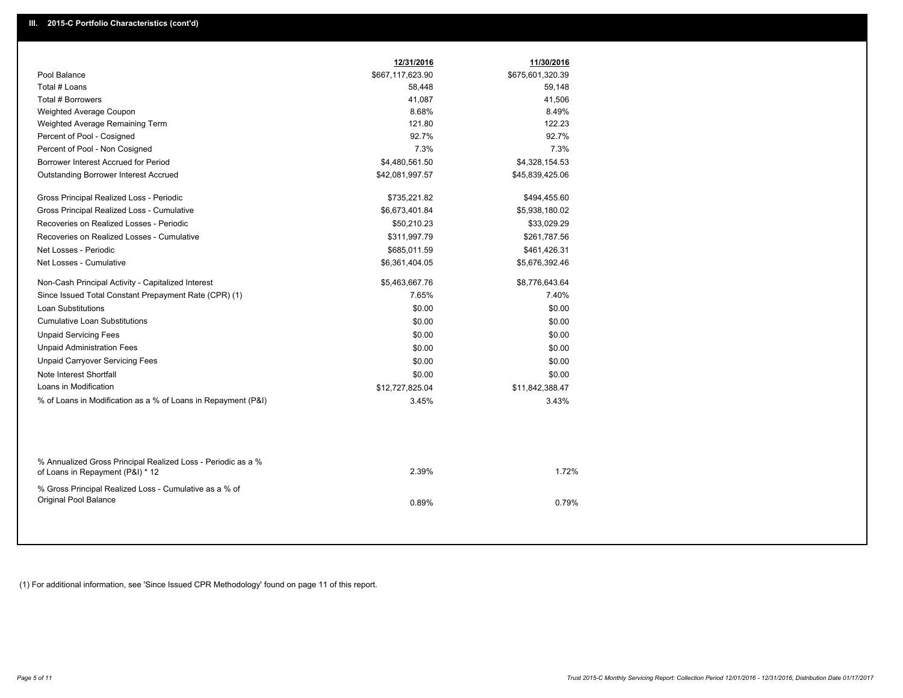| Pool Balance<br>\$667,117,623.90<br>\$675,601,320.39<br>Total # Loans<br>58,448<br>59,148<br>Total # Borrowers<br>41,087<br>41,506<br>8.68%<br>8.49%<br>Weighted Average Coupon<br>121.80<br>122.23<br>Weighted Average Remaining Term<br>92.7%<br>92.7%<br>Percent of Pool - Cosigned<br>7.3%<br>7.3%<br>Percent of Pool - Non Cosigned<br>Borrower Interest Accrued for Period<br>\$4,480,561.50<br>\$4,328,154.53<br>Outstanding Borrower Interest Accrued<br>\$42,081,997.57<br>\$45,839,425.06<br>\$735,221.82<br>Gross Principal Realized Loss - Periodic<br>\$494,455.60<br>Gross Principal Realized Loss - Cumulative<br>\$6,673,401.84<br>\$5,938,180.02<br>Recoveries on Realized Losses - Periodic<br>\$50,210.23<br>\$33,029.29<br>Recoveries on Realized Losses - Cumulative<br>\$311,997.79<br>\$261,787.56<br>Net Losses - Periodic<br>\$685,011.59<br>\$461,426.31<br>Net Losses - Cumulative<br>\$5,676,392.46<br>\$6,361,404.05<br>Non-Cash Principal Activity - Capitalized Interest<br>\$5,463,667.76<br>\$8,776,643.64<br>Since Issued Total Constant Prepayment Rate (CPR) (1)<br>7.65%<br>7.40%<br><b>Loan Substitutions</b><br>\$0.00<br>\$0.00<br><b>Cumulative Loan Substitutions</b><br>\$0.00<br>\$0.00<br><b>Unpaid Servicing Fees</b><br>\$0.00<br>\$0.00<br><b>Unpaid Administration Fees</b><br>\$0.00<br>\$0.00<br><b>Unpaid Carryover Servicing Fees</b><br>\$0.00<br>\$0.00<br>Note Interest Shortfall<br>\$0.00<br>\$0.00<br>Loans in Modification<br>\$12,727,825.04<br>\$11,842,388.47<br>% of Loans in Modification as a % of Loans in Repayment (P&I)<br>3.45%<br>3.43% |                                                              | 12/31/2016 | 11/30/2016 |  |
|-----------------------------------------------------------------------------------------------------------------------------------------------------------------------------------------------------------------------------------------------------------------------------------------------------------------------------------------------------------------------------------------------------------------------------------------------------------------------------------------------------------------------------------------------------------------------------------------------------------------------------------------------------------------------------------------------------------------------------------------------------------------------------------------------------------------------------------------------------------------------------------------------------------------------------------------------------------------------------------------------------------------------------------------------------------------------------------------------------------------------------------------------------------------------------------------------------------------------------------------------------------------------------------------------------------------------------------------------------------------------------------------------------------------------------------------------------------------------------------------------------------------------------------------------------------------------------------------------------------------|--------------------------------------------------------------|------------|------------|--|
|                                                                                                                                                                                                                                                                                                                                                                                                                                                                                                                                                                                                                                                                                                                                                                                                                                                                                                                                                                                                                                                                                                                                                                                                                                                                                                                                                                                                                                                                                                                                                                                                                 |                                                              |            |            |  |
|                                                                                                                                                                                                                                                                                                                                                                                                                                                                                                                                                                                                                                                                                                                                                                                                                                                                                                                                                                                                                                                                                                                                                                                                                                                                                                                                                                                                                                                                                                                                                                                                                 |                                                              |            |            |  |
|                                                                                                                                                                                                                                                                                                                                                                                                                                                                                                                                                                                                                                                                                                                                                                                                                                                                                                                                                                                                                                                                                                                                                                                                                                                                                                                                                                                                                                                                                                                                                                                                                 |                                                              |            |            |  |
|                                                                                                                                                                                                                                                                                                                                                                                                                                                                                                                                                                                                                                                                                                                                                                                                                                                                                                                                                                                                                                                                                                                                                                                                                                                                                                                                                                                                                                                                                                                                                                                                                 |                                                              |            |            |  |
|                                                                                                                                                                                                                                                                                                                                                                                                                                                                                                                                                                                                                                                                                                                                                                                                                                                                                                                                                                                                                                                                                                                                                                                                                                                                                                                                                                                                                                                                                                                                                                                                                 |                                                              |            |            |  |
|                                                                                                                                                                                                                                                                                                                                                                                                                                                                                                                                                                                                                                                                                                                                                                                                                                                                                                                                                                                                                                                                                                                                                                                                                                                                                                                                                                                                                                                                                                                                                                                                                 |                                                              |            |            |  |
|                                                                                                                                                                                                                                                                                                                                                                                                                                                                                                                                                                                                                                                                                                                                                                                                                                                                                                                                                                                                                                                                                                                                                                                                                                                                                                                                                                                                                                                                                                                                                                                                                 |                                                              |            |            |  |
|                                                                                                                                                                                                                                                                                                                                                                                                                                                                                                                                                                                                                                                                                                                                                                                                                                                                                                                                                                                                                                                                                                                                                                                                                                                                                                                                                                                                                                                                                                                                                                                                                 |                                                              |            |            |  |
|                                                                                                                                                                                                                                                                                                                                                                                                                                                                                                                                                                                                                                                                                                                                                                                                                                                                                                                                                                                                                                                                                                                                                                                                                                                                                                                                                                                                                                                                                                                                                                                                                 |                                                              |            |            |  |
|                                                                                                                                                                                                                                                                                                                                                                                                                                                                                                                                                                                                                                                                                                                                                                                                                                                                                                                                                                                                                                                                                                                                                                                                                                                                                                                                                                                                                                                                                                                                                                                                                 |                                                              |            |            |  |
|                                                                                                                                                                                                                                                                                                                                                                                                                                                                                                                                                                                                                                                                                                                                                                                                                                                                                                                                                                                                                                                                                                                                                                                                                                                                                                                                                                                                                                                                                                                                                                                                                 |                                                              |            |            |  |
|                                                                                                                                                                                                                                                                                                                                                                                                                                                                                                                                                                                                                                                                                                                                                                                                                                                                                                                                                                                                                                                                                                                                                                                                                                                                                                                                                                                                                                                                                                                                                                                                                 |                                                              |            |            |  |
|                                                                                                                                                                                                                                                                                                                                                                                                                                                                                                                                                                                                                                                                                                                                                                                                                                                                                                                                                                                                                                                                                                                                                                                                                                                                                                                                                                                                                                                                                                                                                                                                                 |                                                              |            |            |  |
|                                                                                                                                                                                                                                                                                                                                                                                                                                                                                                                                                                                                                                                                                                                                                                                                                                                                                                                                                                                                                                                                                                                                                                                                                                                                                                                                                                                                                                                                                                                                                                                                                 |                                                              |            |            |  |
|                                                                                                                                                                                                                                                                                                                                                                                                                                                                                                                                                                                                                                                                                                                                                                                                                                                                                                                                                                                                                                                                                                                                                                                                                                                                                                                                                                                                                                                                                                                                                                                                                 |                                                              |            |            |  |
|                                                                                                                                                                                                                                                                                                                                                                                                                                                                                                                                                                                                                                                                                                                                                                                                                                                                                                                                                                                                                                                                                                                                                                                                                                                                                                                                                                                                                                                                                                                                                                                                                 |                                                              |            |            |  |
|                                                                                                                                                                                                                                                                                                                                                                                                                                                                                                                                                                                                                                                                                                                                                                                                                                                                                                                                                                                                                                                                                                                                                                                                                                                                                                                                                                                                                                                                                                                                                                                                                 |                                                              |            |            |  |
|                                                                                                                                                                                                                                                                                                                                                                                                                                                                                                                                                                                                                                                                                                                                                                                                                                                                                                                                                                                                                                                                                                                                                                                                                                                                                                                                                                                                                                                                                                                                                                                                                 |                                                              |            |            |  |
|                                                                                                                                                                                                                                                                                                                                                                                                                                                                                                                                                                                                                                                                                                                                                                                                                                                                                                                                                                                                                                                                                                                                                                                                                                                                                                                                                                                                                                                                                                                                                                                                                 |                                                              |            |            |  |
|                                                                                                                                                                                                                                                                                                                                                                                                                                                                                                                                                                                                                                                                                                                                                                                                                                                                                                                                                                                                                                                                                                                                                                                                                                                                                                                                                                                                                                                                                                                                                                                                                 |                                                              |            |            |  |
|                                                                                                                                                                                                                                                                                                                                                                                                                                                                                                                                                                                                                                                                                                                                                                                                                                                                                                                                                                                                                                                                                                                                                                                                                                                                                                                                                                                                                                                                                                                                                                                                                 |                                                              |            |            |  |
|                                                                                                                                                                                                                                                                                                                                                                                                                                                                                                                                                                                                                                                                                                                                                                                                                                                                                                                                                                                                                                                                                                                                                                                                                                                                                                                                                                                                                                                                                                                                                                                                                 |                                                              |            |            |  |
|                                                                                                                                                                                                                                                                                                                                                                                                                                                                                                                                                                                                                                                                                                                                                                                                                                                                                                                                                                                                                                                                                                                                                                                                                                                                                                                                                                                                                                                                                                                                                                                                                 |                                                              |            |            |  |
|                                                                                                                                                                                                                                                                                                                                                                                                                                                                                                                                                                                                                                                                                                                                                                                                                                                                                                                                                                                                                                                                                                                                                                                                                                                                                                                                                                                                                                                                                                                                                                                                                 |                                                              |            |            |  |
|                                                                                                                                                                                                                                                                                                                                                                                                                                                                                                                                                                                                                                                                                                                                                                                                                                                                                                                                                                                                                                                                                                                                                                                                                                                                                                                                                                                                                                                                                                                                                                                                                 |                                                              |            |            |  |
|                                                                                                                                                                                                                                                                                                                                                                                                                                                                                                                                                                                                                                                                                                                                                                                                                                                                                                                                                                                                                                                                                                                                                                                                                                                                                                                                                                                                                                                                                                                                                                                                                 |                                                              |            |            |  |
| 2.39%<br>1.72%<br>of Loans in Repayment (P&I) * 12                                                                                                                                                                                                                                                                                                                                                                                                                                                                                                                                                                                                                                                                                                                                                                                                                                                                                                                                                                                                                                                                                                                                                                                                                                                                                                                                                                                                                                                                                                                                                              | % Annualized Gross Principal Realized Loss - Periodic as a % |            |            |  |
| % Gross Principal Realized Loss - Cumulative as a % of<br>Original Pool Balance<br>0.89%<br>0.79%                                                                                                                                                                                                                                                                                                                                                                                                                                                                                                                                                                                                                                                                                                                                                                                                                                                                                                                                                                                                                                                                                                                                                                                                                                                                                                                                                                                                                                                                                                               |                                                              |            |            |  |

(1) For additional information, see 'Since Issued CPR Methodology' found on page 11 of this report.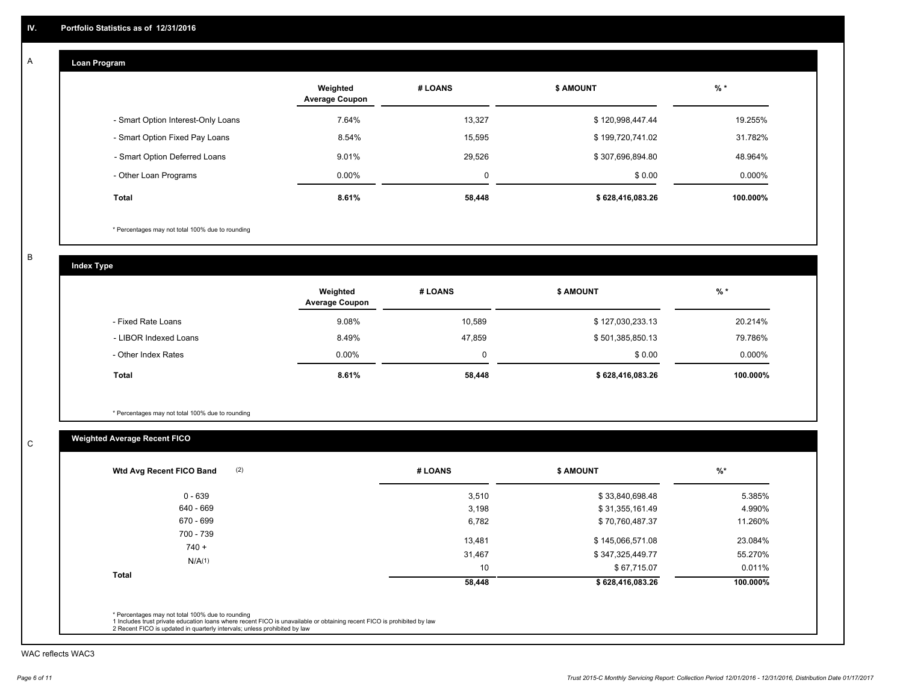#### **Loan Program**  A

|                                    | Weighted<br><b>Average Coupon</b> | # LOANS     | <b>\$ AMOUNT</b> | $%$ *     |
|------------------------------------|-----------------------------------|-------------|------------------|-----------|
| - Smart Option Interest-Only Loans | 7.64%                             | 13.327      | \$120,998,447.44 | 19.255%   |
| - Smart Option Fixed Pay Loans     | 8.54%                             | 15,595      | \$199,720,741.02 | 31.782%   |
| - Smart Option Deferred Loans      | 9.01%                             | 29,526      | \$307,696,894.80 | 48.964%   |
| - Other Loan Programs              | $0.00\%$                          | $\mathbf 0$ | \$0.00           | $0.000\%$ |
| <b>Total</b>                       | 8.61%                             | 58,448      | \$628,416,083.26 | 100.000%  |

\* Percentages may not total 100% due to rounding

B

C

**Index Type**

|                       | Weighted<br><b>Average Coupon</b> | # LOANS  | <b>\$ AMOUNT</b> | $%$ *     |
|-----------------------|-----------------------------------|----------|------------------|-----------|
| - Fixed Rate Loans    | 9.08%                             | 10,589   | \$127,030,233.13 | 20.214%   |
| - LIBOR Indexed Loans | 8.49%                             | 47.859   | \$501,385,850.13 | 79.786%   |
| - Other Index Rates   | $0.00\%$                          | $\Omega$ | \$0.00           | $0.000\%$ |
| <b>Total</b>          | 8.61%                             | 58,448   | \$628,416,083.26 | 100.000%  |

\* Percentages may not total 100% due to rounding

## **Weighted Average Recent FICO**

| 3,510  | \$33,840,698.48  | 5.385%   |
|--------|------------------|----------|
|        |                  |          |
| 3,198  | \$31,355,161.49  | 4.990%   |
| 6,782  | \$70,760,487.37  | 11.260%  |
| 13,481 | \$145,066,571.08 | 23.084%  |
| 31,467 | \$347,325,449.77 | 55.270%  |
| 10     | \$67,715.07      | 0.011%   |
| 58,448 | \$628,416,083.26 | 100.000% |
|        |                  |          |

WAC reflects WAC3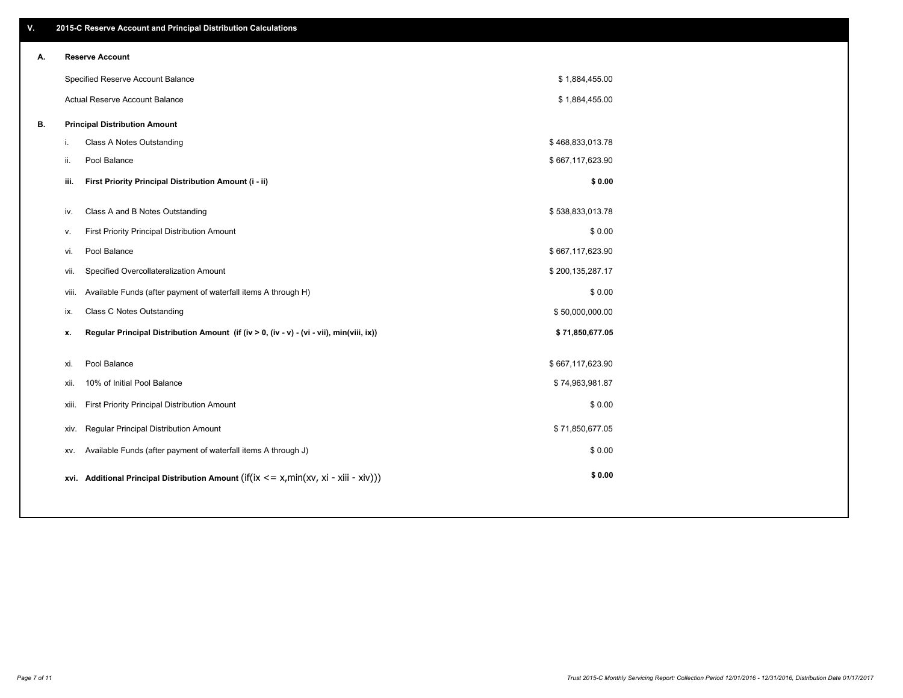| V. |     | 2015-C Reserve Account and Principal Distribution Calculations                                 |                  |  |
|----|-----|------------------------------------------------------------------------------------------------|------------------|--|
| А. |     | <b>Reserve Account</b>                                                                         |                  |  |
|    |     | Specified Reserve Account Balance                                                              | \$1,884,455.00   |  |
|    |     | Actual Reserve Account Balance                                                                 | \$1,884,455.00   |  |
| В. |     | <b>Principal Distribution Amount</b>                                                           |                  |  |
|    | j.  | Class A Notes Outstanding                                                                      | \$468,833,013.78 |  |
|    | ii. | Pool Balance                                                                                   | \$667,117,623.90 |  |
|    |     | First Priority Principal Distribution Amount (i - ii)<br>iii.                                  | \$0.00           |  |
|    |     |                                                                                                |                  |  |
|    |     | Class A and B Notes Outstanding<br>iv.                                                         | \$538,833,013.78 |  |
|    | v.  | First Priority Principal Distribution Amount                                                   | \$0.00           |  |
|    |     | Pool Balance<br>vi.                                                                            | \$667,117,623.90 |  |
|    |     | Specified Overcollateralization Amount<br>vii.                                                 | \$200,135,287.17 |  |
|    |     | Available Funds (after payment of waterfall items A through H)<br>viii.                        | \$0.00           |  |
|    |     | Class C Notes Outstanding<br>ix.                                                               | \$50,000,000.00  |  |
|    |     | Regular Principal Distribution Amount (if (iv > 0, (iv - v) - (vi - vii), min(viii, ix))<br>x. | \$71,850,677.05  |  |
|    |     |                                                                                                |                  |  |
|    |     | Pool Balance<br>xi.                                                                            | \$667,117,623.90 |  |
|    |     | 10% of Initial Pool Balance<br>xii.                                                            | \$74,963,981.87  |  |
|    |     | First Priority Principal Distribution Amount<br>xiii.                                          | \$0.00           |  |
|    |     | Regular Principal Distribution Amount<br>xiv.                                                  | \$71,850,677.05  |  |
|    |     | Available Funds (after payment of waterfall items A through J)<br>XV.                          | \$0.00           |  |
|    |     | xvi. Additional Principal Distribution Amount (if(ix $\lt$ = x, min(xv, xi - xiii - xiv)))     | \$0.00           |  |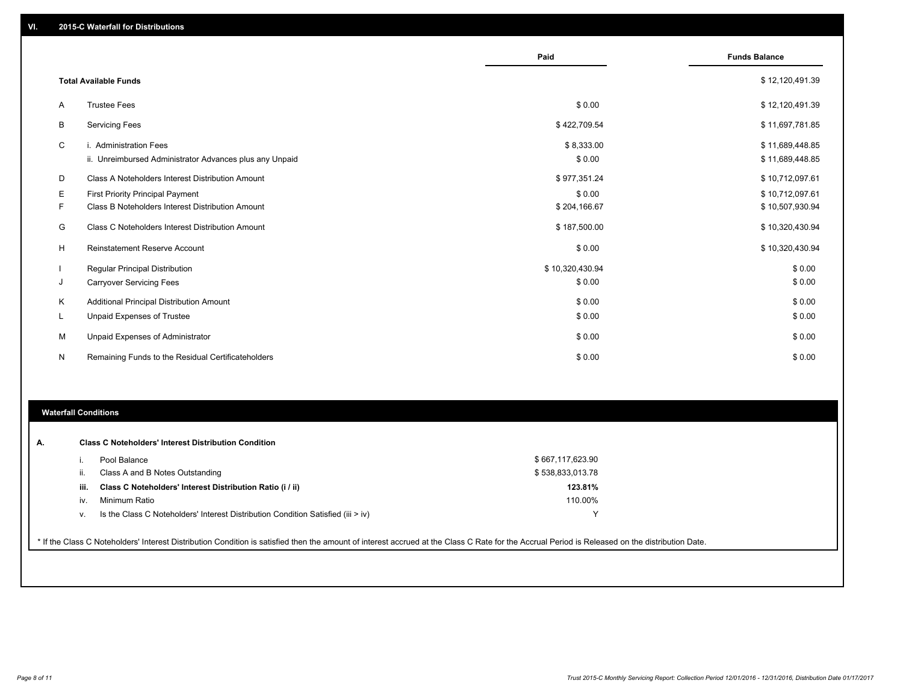|    |                                                                                   | Paid                 | <b>Funds Balance</b>               |
|----|-----------------------------------------------------------------------------------|----------------------|------------------------------------|
|    | <b>Total Available Funds</b>                                                      |                      | \$12,120,491.39                    |
| A  | <b>Trustee Fees</b>                                                               | \$0.00               | \$12,120,491.39                    |
| B  | <b>Servicing Fees</b>                                                             | \$422,709.54         | \$11,697,781.85                    |
| C  | i. Administration Fees<br>ii. Unreimbursed Administrator Advances plus any Unpaid | \$8,333.00<br>\$0.00 | \$11,689,448.85<br>\$11,689,448.85 |
| D  | Class A Noteholders Interest Distribution Amount                                  | \$977,351.24         | \$10,712,097.61                    |
| Е  | <b>First Priority Principal Payment</b>                                           | \$0.00               | \$10,712,097.61                    |
| F  | Class B Noteholders Interest Distribution Amount                                  | \$204,166.67         | \$10,507,930.94                    |
| G  | Class C Noteholders Interest Distribution Amount                                  | \$187,500.00         | \$10,320,430.94                    |
| н  | <b>Reinstatement Reserve Account</b>                                              | \$0.00               | \$10,320,430.94                    |
|    | <b>Regular Principal Distribution</b>                                             | \$10,320,430.94      | \$0.00                             |
| J  | <b>Carryover Servicing Fees</b>                                                   | \$0.00               | \$0.00                             |
| K  | Additional Principal Distribution Amount                                          | \$0.00               | \$0.00                             |
| ч. | <b>Unpaid Expenses of Trustee</b>                                                 | \$0.00               | \$0.00                             |
| М  | Unpaid Expenses of Administrator                                                  | \$0.00               | \$0.00                             |
| N  | Remaining Funds to the Residual Certificateholders                                | \$0.00               | \$0.00                             |

#### **Waterfall Conditions**

|      | Pool Balance                                                                     | \$667,117,623.90 |  |
|------|----------------------------------------------------------------------------------|------------------|--|
| ш.   | Class A and B Notes Outstanding                                                  | \$538,833,013.78 |  |
| iii. | Class C Noteholders' Interest Distribution Ratio (i / ii)                        | 123.81%          |  |
| IV.  | Minimum Ratio                                                                    | 110.00%          |  |
| v.   | Is the Class C Noteholders' Interest Distribution Condition Satisfied (iii > iv) |                  |  |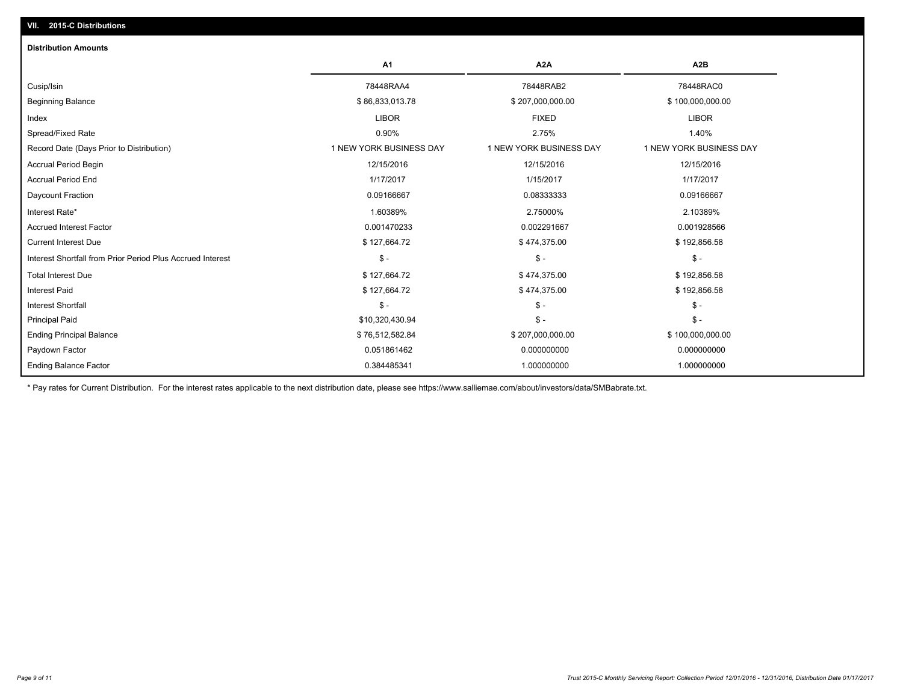| A <sub>2</sub> A<br>A1<br>A <sub>2</sub> B<br>78448RAA4<br>78448RAB2<br>78448RAC0<br>Cusip/Isin<br>\$86,833,013.78<br>\$100,000,000.00<br><b>Beginning Balance</b><br>\$207,000,000.00<br><b>LIBOR</b><br><b>FIXED</b><br><b>LIBOR</b><br>Index |  |
|-------------------------------------------------------------------------------------------------------------------------------------------------------------------------------------------------------------------------------------------------|--|
|                                                                                                                                                                                                                                                 |  |
|                                                                                                                                                                                                                                                 |  |
|                                                                                                                                                                                                                                                 |  |
|                                                                                                                                                                                                                                                 |  |
| Spread/Fixed Rate<br>0.90%<br>1.40%<br>2.75%                                                                                                                                                                                                    |  |
| 1 NEW YORK BUSINESS DAY<br>1 NEW YORK BUSINESS DAY<br>1 NEW YORK BUSINESS DAY<br>Record Date (Days Prior to Distribution)                                                                                                                       |  |
| 12/15/2016<br>12/15/2016<br>12/15/2016<br><b>Accrual Period Begin</b>                                                                                                                                                                           |  |
| <b>Accrual Period End</b><br>1/17/2017<br>1/15/2017<br>1/17/2017                                                                                                                                                                                |  |
| Daycount Fraction<br>0.09166667<br>0.08333333<br>0.09166667                                                                                                                                                                                     |  |
| Interest Rate*<br>1.60389%<br>2.75000%<br>2.10389%                                                                                                                                                                                              |  |
| 0.001470233<br><b>Accrued Interest Factor</b><br>0.002291667<br>0.001928566                                                                                                                                                                     |  |
| <b>Current Interest Due</b><br>\$127,664.72<br>\$474,375.00<br>\$192,856.58                                                                                                                                                                     |  |
| $\mathsf{\$}$ -<br>$\frac{1}{2}$<br>$\mathsf{\$}$ -<br>Interest Shortfall from Prior Period Plus Accrued Interest                                                                                                                               |  |
| <b>Total Interest Due</b><br>\$127,664.72<br>\$474,375.00<br>\$192,856.58                                                                                                                                                                       |  |
| <b>Interest Paid</b><br>\$127,664.72<br>\$474,375.00<br>\$192,856.58                                                                                                                                                                            |  |
| $\mathsf{\$}$ -<br>$\mathsf{\$}$ -<br>$\mathsf{\$}$ -<br><b>Interest Shortfall</b>                                                                                                                                                              |  |
| $\frac{2}{3}$ -<br>$S -$<br><b>Principal Paid</b><br>\$10,320,430.94                                                                                                                                                                            |  |
| \$100,000,000.00<br><b>Ending Principal Balance</b><br>\$76,512,582.84<br>\$207,000,000.00                                                                                                                                                      |  |
| Paydown Factor<br>0.051861462<br>0.000000000<br>0.000000000                                                                                                                                                                                     |  |
| <b>Ending Balance Factor</b><br>0.384485341<br>1.000000000<br>1.000000000                                                                                                                                                                       |  |

\* Pay rates for Current Distribution. For the interest rates applicable to the next distribution date, please see https://www.salliemae.com/about/investors/data/SMBabrate.txt.

**VII. 2015-C Distributions**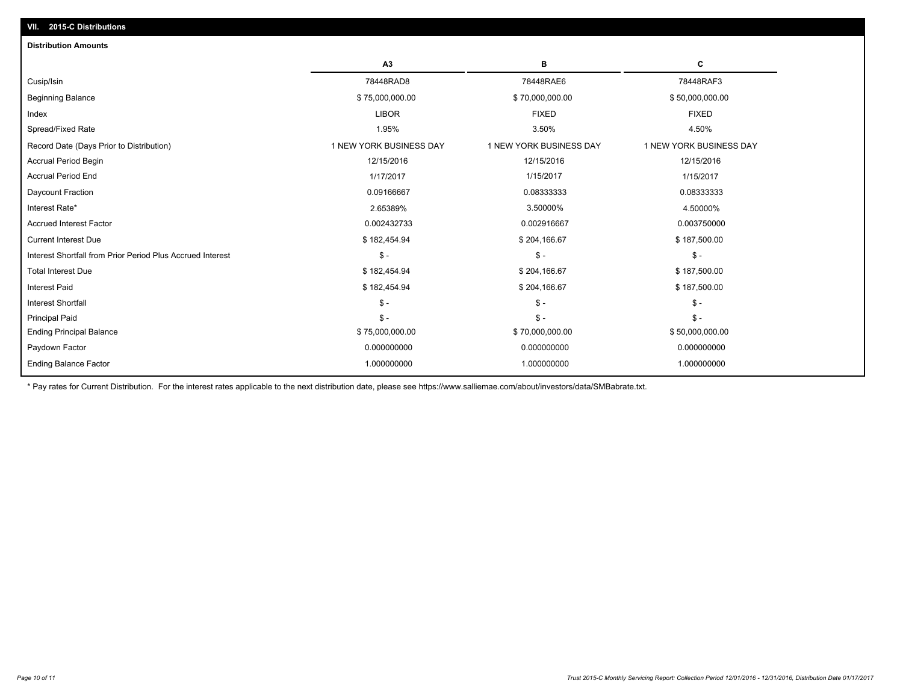| A3                      | в                       | С                       |
|-------------------------|-------------------------|-------------------------|
| 78448RAD8               | 78448RAE6               | 78448RAF3               |
| \$75,000,000.00         | \$70,000,000.00         | \$50,000,000.00         |
| <b>LIBOR</b>            | <b>FIXED</b>            | <b>FIXED</b>            |
| 1.95%                   | 3.50%                   | 4.50%                   |
| 1 NEW YORK BUSINESS DAY | 1 NEW YORK BUSINESS DAY | 1 NEW YORK BUSINESS DAY |
| 12/15/2016              | 12/15/2016              | 12/15/2016              |
| 1/17/2017               | 1/15/2017               | 1/15/2017               |
| 0.09166667              | 0.08333333              | 0.08333333              |
| 2.65389%                | 3.50000%                | 4.50000%                |
| 0.002432733             | 0.002916667             | 0.003750000             |
| \$182,454.94            | \$204,166.67            | \$187,500.00            |
| $\mathsf{\$}$ -         | $\mathsf{\$}$ -         | $\mathsf{\$}$ -         |
| \$182,454.94            | \$204,166.67            | \$187,500.00            |
| \$182,454.94            | \$204,166.67            | \$187,500.00            |
| $\mathsf S$ -           | $\mathsf{\$}$ -         | $S -$                   |
| $\mathsf S$ -           | $S -$                   | $S -$                   |
| \$75,000,000.00         | \$70,000,000.00         | \$50,000,000.00         |
| 0.000000000             | 0.000000000             | 0.000000000             |
| 1.000000000             | 1.000000000             | 1.000000000             |
|                         |                         |                         |

\* Pay rates for Current Distribution. For the interest rates applicable to the next distribution date, please see https://www.salliemae.com/about/investors/data/SMBabrate.txt.

**VII. 2015-C Distributions**